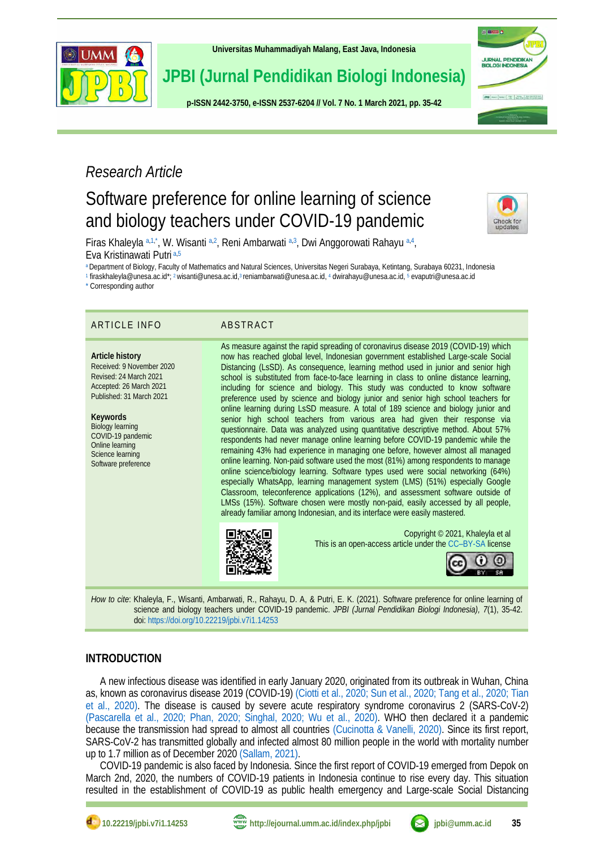

**[Universitas Muhammadiyah Malang,](http://ejournal.umm.ac.id/) East Java, Indonesia**

**JPBI (Jurnal Pendidikan Biologi Indonesia)**

**p-ISS[N 2442-3750,](http://u.lipi.go.id/1422867894) e-ISS[N 2537-6204](http://u.lipi.go.id/1460300524) // Vol. 7 No. 1 March 2021, pp. 35-42**



## *Research Article*

# Software preference for online learning of science and biology teachers under COVID-19 pandemic

<span id="page-0-11"></span><span id="page-0-6"></span>Check for<br>updates

<span id="page-0-12"></span><span id="page-0-8"></span><span id="page-0-7"></span>Firas Khaleyla [a,](#page-0-0)[1,](#page-0-1)[\\*](#page-0-2), W. Wisanti a,[2](#page-0-3), Reni Ambarwati a,[3](#page-0-4), Dwi Anggorowati Rahayu a,[4](#page-0-5), Eva Kristinawati Putri [a,](#page-0-0)[5](#page-0-6)

<span id="page-0-0"></span>[a](#page-0-7) Department of Biology, Faculty of Mathematics and Natural Sciences, Universitas Negeri Surabaya, Ketintang, Surabaya 60231, Indonesia

<span id="page-0-1"></span>[1](#page-0-8) [firaskhaleyla@unesa.ac.id\\*](mailto:firaskhaleyla@unesa.ac.id)[;](#page-0-9) <sup>2</sup> [wisanti@unesa.ac.id,](mailto:wisanti@unesa.ac.id)<sup>3</sup> [reniambarwati@unesa.ac.id,](mailto:reniambarwati@unesa.ac.id)4 [dwirahayu@unesa.ac.id,](mailto:dwirahayu@unesa.ac.id) <sup>5</sup> [evaputri@unesa.ac.id](mailto:evaputri@unesa.ac.id)

<span id="page-0-2"></span>[\\*](#page-0-7) Corresponding author

#### ARTICLE INFO ABSTRACT

**Article history** Received: 9 November 2020 Revised: 24 March 2021 Accepted: 26 March 2021 Published: 31 March 2021

**Keywords** Biology learning COVID-19 pandemic Online learning Science learning Software preference

<span id="page-0-10"></span><span id="page-0-9"></span><span id="page-0-5"></span><span id="page-0-4"></span><span id="page-0-3"></span>As measure against the rapid spreading of coronavirus disease 2019 (COVID-19) which now has reached global level, Indonesian government established Large-scale Social Distancing (LsSD). As consequence, learning method used in junior and senior high school is substituted from face-to-face learning in class to online distance learning, including for science and biology. This study was conducted to know software preference used by science and biology junior and senior high school teachers for online learning during LsSD measure. A total of 189 science and biology junior and senior high school teachers from various area had given their response via questionnaire. Data was analyzed using quantitative descriptive method. About 57% respondents had never manage online learning before COVID-19 pandemic while the remaining 43% had experience in managing one before, however almost all managed online learning. Non-paid software used the most (81%) among respondents to manage online science/biology learning. Software types used were social networking (64%) especially WhatsApp, learning management system (LMS) (51%) especially Google Classroom, teleconference applications (12%), and assessment software outside of LMSs (15%). Software chosen were mostly non-paid, easily accessed by all people, already familiar among Indonesian, and its interface were easily mastered.



Copyright © 2021, Khaleyla et al This is an open-access article under the CC–[BY-SA](http://creativecommons.org/licenses/by-sa/4.0/) license



*How to cite*: Khaleyla, F., Wisanti, Ambarwati, R., Rahayu, D. A, & Putri, E. K. (2021). Software preference for online learning of science and biology teachers under COVID-19 pandemic. *JPBI (Jurnal Pendidikan Biologi Indonesia), 7*(1), 35-42. doi:<https://doi.org/10.22219/jpbi.v7i1.14253>

#### **INTRODUCTION**

A new infectious disease was identified in early January 2020, originated from its outbreak in Wuhan, China as, known as coronavirus disease 2019 (COVID-19) [\(Ciotti et al., 2020;](#page-5-0) [Sun et al., 2020;](#page-6-0) [Tang et al., 2020;](#page-7-0) [Tian](#page-7-1)  [et al., 2020\).](#page-7-1) The disease is caused by severe acute respiratory syndrome coronavirus 2 (SARS-CoV-2) [\(Pascarella et al., 2020;](#page-6-1) [Phan, 2020;](#page-6-2) [Singhal, 2020;](#page-6-3) [Wu et al., 2020\).](#page-7-2) WHO then declared it a pandemic because the transmission had spread to almost all countries [\(Cucinotta & Vanelli, 2020\).](#page-5-1) Since its first report, SARS-CoV-2 has transmitted globally and infected almost 80 million people in the world with mortality number up to 1.7 million as of December 202[0 \(Sallam, 2021\).](#page-6-4)

COVID-19 pandemic is also faced by Indonesia. Since the first report of COVID-19 emerged from Depok on March 2nd, 2020, the numbers of COVID-19 patients in Indonesia continue to rise every day. This situation resulted in the establishment of COVID-19 as public health emergency and Large-scale Social Distancing



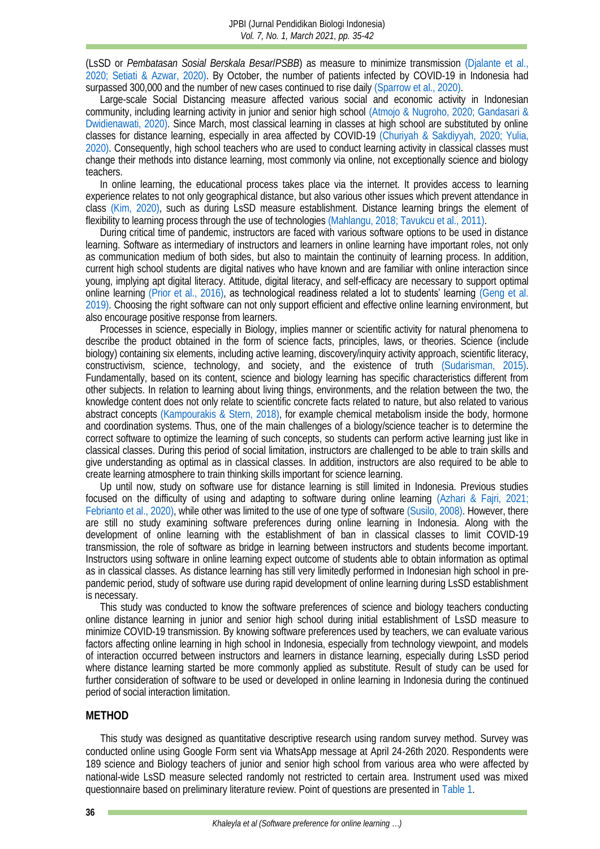(LsSD or *Pembatasan Sosial Berskala Besar*/*PSBB*) as measure to minimize transmission [\(Djalante et al.,](#page-5-2)  [2020;](#page-5-2) [Setiati & Azwar, 2020\).](#page-6-5) By October, the number of patients infected by COVID-19 in Indonesia had surpassed 300,000 and the number of new cases continued to rise dail[y \(Sparrow et al., 2020\).](#page-6-6)

Large-scale Social Distancing measure affected various social and economic activity in Indonesian community, including learning activity in junior and senior high school [\(Atmojo & Nugroho, 2020;](#page-5-3) [Gandasari &](#page-5-4)  [Dwidienawati, 2020\).](#page-5-4) Since March, most classical learning in classes at high school are substituted by online classes for distance learning, especially in area affected by COVID-19 [\(Churiyah & Sakdiyyah, 2020;](#page-5-5) [Yulia,](#page-7-3)  [2020\).](#page-7-3) Consequently, high school teachers who are used to conduct learning activity in classical classes must change their methods into distance learning, most commonly via online, not exceptionally science and biology teachers.

In online learning, the educational process takes place via the internet. It provides access to learning experience relates to not only geographical distance, but also various other issues which prevent attendance in class [\(Kim, 2020\),](#page-6-7) such as during LsSD measure establishment. Distance learning brings the element of flexibility to learning process through the use of technologie[s \(Mahlangu, 2018;](#page-6-8) [Tavukcu et al., 2011\).](#page-7-4)

During critical time of pandemic, instructors are faced with various software options to be used in distance learning. Software as intermediary of instructors and learners in online learning have important roles, not only as communication medium of both sides, but also to maintain the continuity of learning process. In addition, current high school students are digital natives who have known and are familiar with online interaction since young, implying apt digital literacy. Attitude, digital literacy, and self-efficacy are necessary to support optimal online learning [\(Prior et al., 2016\)](#page-6-9), as technological readiness related a lot to students' learning [\(Geng et al.](#page-5-6)  2019). Choosing the right software can not only support efficient and effective online learning environment, but also encourage positive response from learners.

Processes in science, especially in Biology, implies manner or scientific activity for natural phenomena to describe the product obtained in the form of science facts, principles, laws, or theories. Science (include biology) containing six elements, including active learning, discovery/inquiry activity approach, scientific literacy, constructivism, science, technology, and society, and the existence of truth [\(Sudarisman, 2015\).](#page-6-10) Fundamentally, based on its content, science and biology learning has specific characteristics different from other subjects. In relation to learning about living things, environments, and the relation between the two, the knowledge content does not only relate to scientific concrete facts related to nature, but also related to various abstract concepts [\(Kampourakis & Stern, 2018\),](#page-5-7) for example chemical metabolism inside the body, hormone and coordination systems. Thus, one of the main challenges of a biology/science teacher is to determine the correct software to optimize the learning of such concepts, so students can perform active learning just like in classical classes. During this period of social limitation, instructors are challenged to be able to train skills and give understanding as optimal as in classical classes. In addition, instructors are also required to be able to create learning atmosphere to train thinking skills important for science learning.

Up until now, study on software use for distance learning is still limited in Indonesia. Previous studies focused on the difficulty of using and adapting to software during online learning (Azhari [& Fajri, 2021;](#page-5-8) [Febrianto et al., 2020\),](#page-5-9) while other was limited to the use of one type of software [\(Susilo, 2008\).](#page-6-11) However, there are still no study examining software preferences during online learning in Indonesia. Along with the development of online learning with the establishment of ban in classical classes to limit COVID-19 transmission, the role of software as bridge in learning between instructors and students become important. Instructors using software in online learning expect outcome of students able to obtain information as optimal as in classical classes. As distance learning has still very limitedly performed in Indonesian high school in prepandemic period, study of software use during rapid development of online learning during LsSD establishment is necessary.

This study was conducted to know the software preferences of science and biology teachers conducting online distance learning in junior and senior high school during initial establishment of LsSD measure to minimize COVID-19 transmission. By knowing software preferences used by teachers, we can evaluate various factors affecting online learning in high school in Indonesia, especially from technology viewpoint, and models of interaction occurred between instructors and learners in distance learning, especially during LsSD period where distance learning started be more commonly applied as substitute. Result of study can be used for further consideration of software to be used or developed in online learning in Indonesia during the continued period of social interaction limitation.

#### **METHOD**

This study was designed as quantitative descriptive research using random survey method. Survey was conducted online using Google Form sent via WhatsApp message at April 24-26th 2020. Respondents were 189 science and Biology teachers of junior and senior high school from various area who were affected by national-wide LsSD measure selected randomly not restricted to certain area. Instrument used was mixed questionnaire based on preliminary literature review. Point of questions are presented i[n Table 1.](#page-2-0)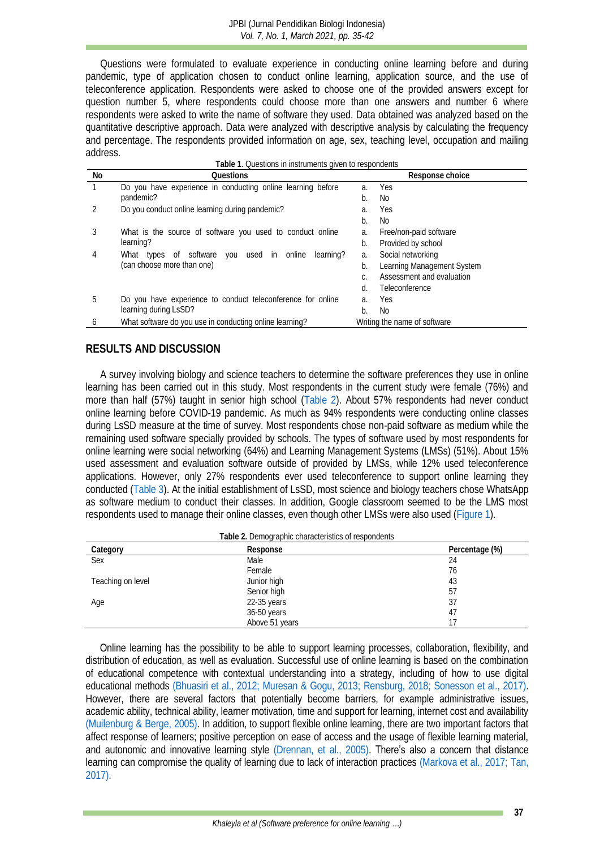Questions were formulated to evaluate experience in conducting online learning before and during pandemic, type of application chosen to conduct online learning, application source, and the use of teleconference application. Respondents were asked to choose one of the provided answers except for question number 5, where respondents could choose more than one answers and number 6 where respondents were asked to write the name of software they used. Data obtained was analyzed based on the quantitative descriptive approach. Data were analyzed with descriptive analysis by calculating the frequency and percentage. The respondents provided information on age, sex, teaching level, occupation and mailing address.

<span id="page-2-0"></span>

| No | Questions                                                   |                              | Response choice            |
|----|-------------------------------------------------------------|------------------------------|----------------------------|
|    | Do you have experience in conducting online learning before | $\partial$ .                 | Yes                        |
|    | pandemic?                                                   |                              | No.                        |
|    | Do you conduct online learning during pandemic?             | a.                           | Yes                        |
|    |                                                             |                              | No.                        |
| 3  | What is the source of software you used to conduct online   | a.                           | Free/non-paid software     |
|    | learning?                                                   | b.                           | Provided by school         |
| 4  | What types of software you used in online<br>learning?      | a.                           | Social networking          |
|    | (can choose more than one)                                  | b.                           | Learning Management System |
|    |                                                             |                              | Assessment and evaluation  |
|    |                                                             | d.                           | Teleconference             |
| 5  | Do you have experience to conduct teleconference for online | a.                           | Yes                        |
|    | learning during LsSD?                                       |                              | No                         |
|    | What software do you use in conducting online learning?     | Writing the name of software |                            |

### **RESULTS AND DISCUSSION**

A survey involving biology and science teachers to determine the software preferences they use in online learning has been carried out in this study. Most respondents in the current study were female (76%) and more than half (57%) taught in senior high school [\(Table 2\)](#page-2-1). About 57% respondents had never conduct online learning before COVID-19 pandemic. As much as 94% respondents were conducting online classes during LsSD measure at the time of survey. Most respondents chose non-paid software as medium while the remaining used software specially provided by schools. The types of software used by most respondents for online learning were social networking (64%) and Learning Management Systems (LMSs) (51%). About 15% used assessment and evaluation software outside of provided by LMSs, while 12% used teleconference applications. However, only 27% respondents ever used teleconference to support online learning they conducted [\(Table 3\)](#page-3-0). At the initial establishment of LsSD, most science and biology teachers chose WhatsApp as software medium to conduct their classes. In addition, Google classroom seemed to be the LMS most respondents used to manage their online classes, even though other LMSs were also used [\(Figure 1\)](#page-3-1).

<span id="page-2-1"></span>

| Table 2. Demographic characteristics of respondents |                |                |  |  |  |
|-----------------------------------------------------|----------------|----------------|--|--|--|
| Category                                            | Response       | Percentage (%) |  |  |  |
| Sex                                                 | <b>Male</b>    | 24             |  |  |  |
|                                                     | Female         | 76             |  |  |  |
| Teaching on level                                   | Junior high    | 43             |  |  |  |
|                                                     | Senior high    | 57             |  |  |  |
| Age                                                 | 22-35 years    | 37             |  |  |  |
|                                                     | 36-50 years    | 47             |  |  |  |
|                                                     | Above 51 years |                |  |  |  |

Online learning has the possibility to be able to support learning processes, collaboration, flexibility, and distribution of education, as well as evaluation. Successful use of online learning is based on the combination of educational competence with contextual understanding into a strategy, including of how to use digital educational methods [\(Bhuasiri et al., 2012;](#page-5-10) [Muresan & Gogu, 2013;](#page-6-12) [Rensburg, 2018;](#page-6-13) [Sonesson et al., 2017\).](#page-6-14) However, there are several factors that potentially become barriers, for example administrative issues, academic ability, technical ability, learner motivation, time and support for learning, internet cost and availability [\(Muilenburg & Berge, 2005\).](#page-6-15) In addition, to support flexible online learning, there are two important factors that affect response of learners; positive perception on ease of access and the usage of flexible learning material, and autonomic and innovative learning style [\(Drennan, et al., 2005\)](#page-5-11). There's also a concern that distance learning can compromise the quality of learning due to lack of interaction practices [\(Markova et al., 2017;](#page-6-16) [Tan,](#page-7-5)  [2017\).](#page-7-5)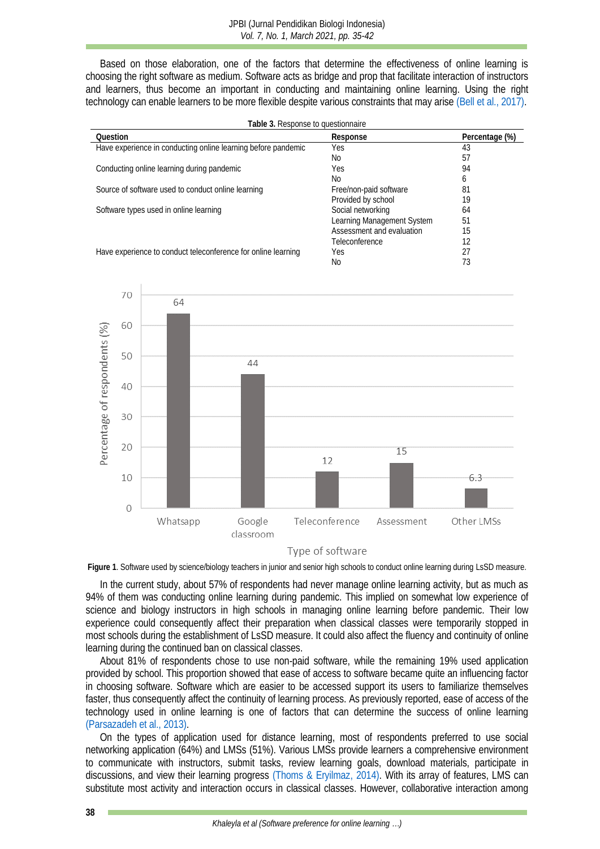Based on those elaboration, one of the factors that determine the effectiveness of online learning is choosing the right software as medium. Software acts as bridge and prop that facilitate interaction of instructors and learners, thus become an important in conducting and maintaining online learning. Using the right technology can enable learners to be more flexible despite various constraints that may arise [\(Bell et al., 2017\).](#page-5-12)

<span id="page-3-0"></span>

| Table 3. Response to questionnaire                            |                            |                |  |  |  |
|---------------------------------------------------------------|----------------------------|----------------|--|--|--|
| Question                                                      | Response                   | Percentage (%) |  |  |  |
| Have experience in conducting online learning before pandemic | Yes                        | 43             |  |  |  |
|                                                               | No.                        | 5.             |  |  |  |
| Conducting online learning during pandemic                    | <b>Yes</b>                 | 94             |  |  |  |
|                                                               | No                         | <sub>(</sub>   |  |  |  |
| Source of software used to conduct online learning            | Free/non-paid software     | 81             |  |  |  |
|                                                               | Provided by school         | 19             |  |  |  |
| Software types used in online learning                        | Social networking          | 64             |  |  |  |
|                                                               | Learning Management System | 51             |  |  |  |
|                                                               | Assessment and evaluation  | 15             |  |  |  |
|                                                               | Teleconference             |                |  |  |  |
| Have experience to conduct teleconference for online learning | Yes                        |                |  |  |  |
|                                                               | No                         |                |  |  |  |

<span id="page-3-1"></span>

#### Type of software

**Figure 1**. Software used by science/biology teachers in junior and senior high schools to conduct online learning during LsSD measure.

In the current study, about 57% of respondents had never manage online learning activity, but as much as 94% of them was conducting online learning during pandemic. This implied on somewhat low experience of science and biology instructors in high schools in managing online learning before pandemic. Their low experience could consequently affect their preparation when classical classes were temporarily stopped in most schools during the establishment of LsSD measure. It could also affect the fluency and continuity of online learning during the continued ban on classical classes.

About 81% of respondents chose to use non-paid software, while the remaining 19% used application provided by school. This proportion showed that ease of access to software became quite an influencing factor in choosing software. Software which are easier to be accessed support its users to familiarize themselves faster, thus consequently affect the continuity of learning process. As previously reported, ease of access of the technology used in online learning is one of factors that can determine the success of online learning [\(Parsazadeh et al., 2013\).](#page-6-17)

On the types of application used for distance learning, most of respondents preferred to use social networking application (64%) and LMSs (51%). Various LMSs provide learners a comprehensive environment to communicate with instructors, submit tasks, review learning goals, download materials, participate in discussions, and view their learning progress [\(Thoms & Eryilmaz, 2014\).](#page-7-6) With its array of features, LMS can substitute most activity and interaction occurs in classical classes. However, collaborative interaction among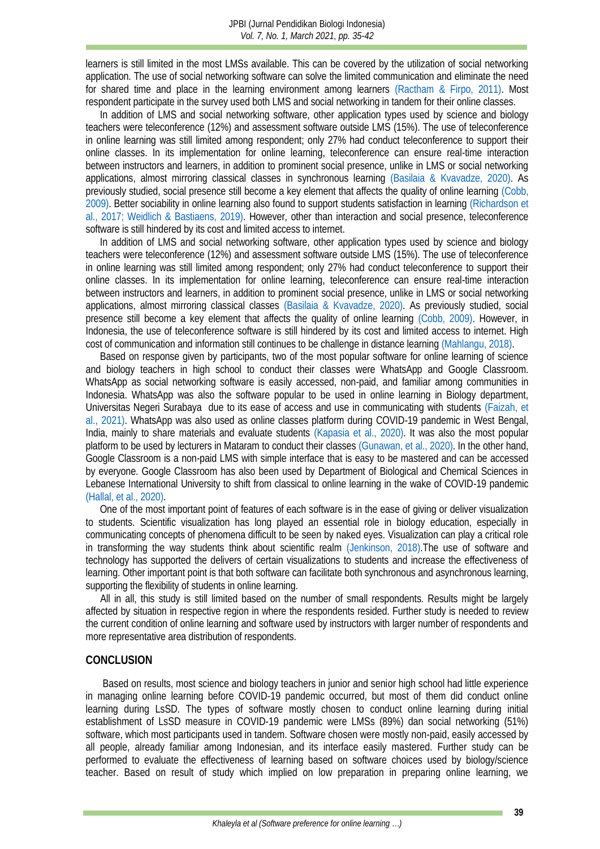learners is still limited in the most LMSs available. This can be covered by the utilization of social networking application. The use of social networking software can solve the limited communication and eliminate the need for shared time and place in the learning environment among learners [\(Ractham & Firpo, 2011\).](#page-6-18) Most respondent participate in the survey used both LMS and social networking in tandem for their online classes.

In addition of LMS and social networking software, other application types used by science and biology teachers were teleconference (12%) and assessment software outside LMS (15%). The use of teleconference in online learning was still limited among respondent; only 27% had conduct teleconference to support their online classes. In its implementation for online learning, teleconference can ensure real-time interaction between instructors and learners, in addition to prominent social presence, unlike in LMS or social networking applications, almost mirroring classical classes in synchronous learning [\(Basilaia & Kvavadze, 2020\).](#page-5-13) As previously studied, social presence still become a key element that affects the quality of online learning [\(Cobb,](#page-5-14)  2009). Better sociability in online learning also found to support students satisfaction in learning [\(Richardson et](#page-6-19)  [al., 2017;](#page-6-19) [Weidlich & Bastiaens, 2019\).](#page-7-7) However, other than interaction and social presence, teleconference software is still hindered by its cost and limited access to internet.

In addition of LMS and social networking software, other application types used by science and biology teachers were teleconference (12%) and assessment software outside LMS (15%). The use of teleconference in online learning was still limited among respondent; only 27% had conduct teleconference to support their online classes. In its implementation for online learning, teleconference can ensure real-time interaction between instructors and learners, in addition to prominent social presence, unlike in LMS or social networking applications, almost mirroring classical classes [\(Basilaia & Kvavadze, 2020\).](#page-5-13) As previously studied, social presence still become a key element that affects the quality of online learning [\(Cobb, 2009\).](#page-5-14) However, in Indonesia, the use of teleconference software is still hindered by its cost and limited access to internet. High cost of communication and information still continues to be challenge in distance learning [\(Mahlangu, 2018\).](#page-6-8)

Based on response given by participants, two of the most popular software for online learning of science and biology teachers in high school to conduct their classes were WhatsApp and Google Classroom. WhatsApp as social networking software is easily accessed, non-paid, and familiar among communities in Indonesia. WhatsApp was also the software popular to be used in online learning in Biology department, Universitas Negeri Surabaya due to its ease of access and use in communicating with students [\(Faizah, et](#page-5-15)  al., 2021). WhatsApp was also used as online classes platform during COVID-19 pandemic in West Bengal, India, mainly to share materials and evaluate students [\(Kapasia et al., 2020\).](#page-6-20) It was also the most popular platform to be used by lecturers in Mataram to conduct their classes [\(Gunawan, et al., 2020\).](#page-5-16) In the other hand, Google Classroom is a non-paid LMS with simple interface that is easy to be mastered and can be accessed by everyone. Google Classroom has also been used by Department of Biological and Chemical Sciences in Lebanese International University to shift from classical to online learning in the wake of COVID-19 pandemic [\(Hallal, et al., 2020\).](#page-5-17)

One of the most important point of features of each software is in the ease of giving or deliver visualization to students. Scientific visualization has long played an essential role in biology education, especially in communicating concepts of phenomena difficult to be seen by naked eyes. Visualization can play a critical role in transforming the way students think about scientific realm [\(Jenkinson, 2018\).](#page-5-18)The use of software and technology has supported the delivers of certain visualizations to students and increase the effectiveness of learning. Other important point is that both software can facilitate both synchronous and asynchronous learning, supporting the flexibility of students in online learning.

All in all, this study is still limited based on the number of small respondents. Results might be largely affected by situation in respective region in where the respondents resided. Further study is needed to review the current condition of online learning and software used by instructors with larger number of respondents and more representative area distribution of respondents.

#### **CONCLUSION**

Based on results, most science and biology teachers in junior and senior high school had little experience in managing online learning before COVID-19 pandemic occurred, but most of them did conduct online learning during LsSD. The types of software mostly chosen to conduct online learning during initial establishment of LsSD measure in COVID-19 pandemic were LMSs (89%) dan social networking (51%) software, which most participants used in tandem. Software chosen were mostly non-paid, easily accessed by all people, already familiar among Indonesian, and its interface easily mastered. Further study can be performed to evaluate the effectiveness of learning based on software choices used by biology/science teacher. Based on result of study which implied on low preparation in preparing online learning, we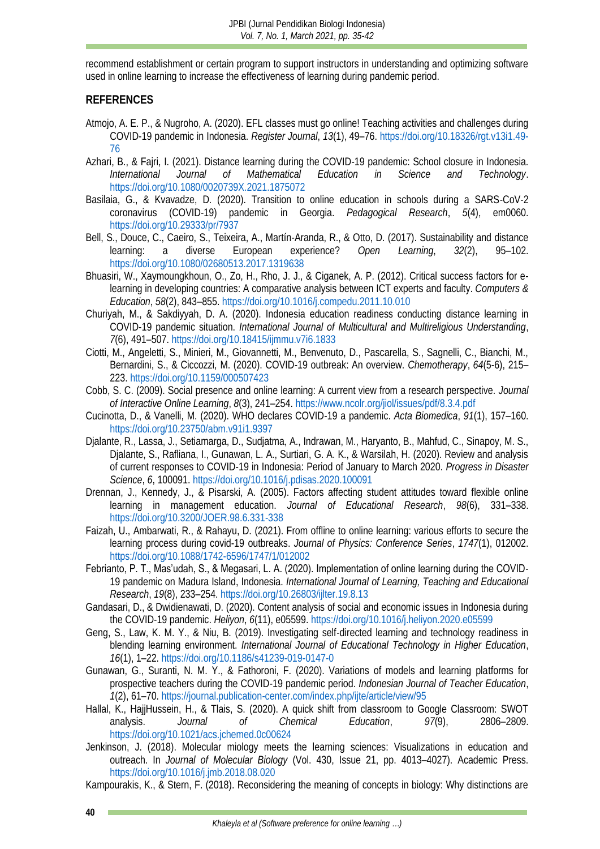recommend establishment or certain program to support instructors in understanding and optimizing software used in online learning to increase the effectiveness of learning during pandemic period.

### **REFERENCES**

- <span id="page-5-3"></span>Atmojo, A. E. P., & Nugroho, A. (2020). EFL classes must go online! Teaching activities and challenges during COVID-19 pandemic in Indonesia. *Register Journal*, *13*(1), 49–76. [https://doi.org/10.18326/rgt.v13i1.49-](https://doi.org/10.18326/rgt.v13i1.49-76) [76](https://doi.org/10.18326/rgt.v13i1.49-76)
- <span id="page-5-8"></span>Azhari, B., & Fajri, I. (2021). Distance learning during the COVID-19 pandemic: School closure in Indonesia.<br>International Journal of Mathematical Education in Science and Technology. *International Journal of Mathematical Education in Science and Technology*. <https://doi.org/10.1080/0020739X.2021.1875072>
- <span id="page-5-13"></span>Basilaia, G., & Kvavadze, D. (2020). Transition to online education in schools during a SARS-CoV-2 coronavirus (COVID-19) pandemic in Georgia. *Pedagogical Research*, *5*(4), em0060. <https://doi.org/10.29333/pr/7937>
- <span id="page-5-12"></span>Bell, S., Douce, C., Caeiro, S., Teixeira, A., Martín-Aranda, R., & Otto, D. (2017). Sustainability and distance learning: a diverse European experience? *Open Learning*, *32*(2), 95–102. <https://doi.org/10.1080/02680513.2017.1319638>
- <span id="page-5-10"></span>Bhuasiri, W., Xaymoungkhoun, O., Zo, H., Rho, J. J., & Ciganek, A. P. (2012). Critical success factors for elearning in developing countries: A comparative analysis between ICT experts and faculty. *Computers & Education*, *58*(2), 843–855[. https://doi.org/10.1016/j.compedu.2011.10.010](https://doi.org/10.1016/j.compedu.2011.10.010)
- <span id="page-5-5"></span>Churiyah, M., & Sakdiyyah, D. A. (2020). Indonesia education readiness conducting distance learning in COVID-19 pandemic situation. *International Journal of Multicultural and Multireligious Understanding*, *7*(6), 491–507.<https://doi.org/10.18415/ijmmu.v7i6.1833>
- <span id="page-5-0"></span>Ciotti, M., Angeletti, S., Minieri, M., Giovannetti, M., Benvenuto, D., Pascarella, S., Sagnelli, C., Bianchi, M., Bernardini, S., & Ciccozzi, M. (2020). COVID-19 outbreak: An overview. *Chemotherapy*, *64*(5-6), 215– 223.<https://doi.org/10.1159/000507423>
- <span id="page-5-14"></span>Cobb, S. C. (2009). Social presence and online learning: A current view from a research perspective. *Journal of Interactive Online Learning*, *8*(3), 241–254.<https://www.ncolr.org/jiol/issues/pdf/8.3.4.pdf>
- <span id="page-5-1"></span>Cucinotta, D., & Vanelli, M. (2020). WHO declares COVID-19 a pandemic. *Acta Biomedica*, *91*(1), 157–160. <https://doi.org/10.23750/abm.v91i1.9397>
- <span id="page-5-2"></span>Djalante, R., Lassa, J., Setiamarga, D., Sudjatma, A., Indrawan, M., Haryanto, B., Mahfud, C., Sinapoy, M. S., Djalante, S., Rafliana, I., Gunawan, L. A., Surtiari, G. A. K., & Warsilah, H. (2020). Review and analysis of current responses to COVID-19 in Indonesia: Period of January to March 2020. *Progress in Disaster Science*, *6*, 100091.<https://doi.org/10.1016/j.pdisas.2020.100091>
- <span id="page-5-11"></span>Drennan, J., Kennedy, J., & Pisarski, A. (2005). Factors affecting student attitudes toward flexible online learning in management education. *Journal of Educational Research*, *98*(6), 331–338. <https://doi.org/10.3200/JOER.98.6.331-338>
- <span id="page-5-15"></span>Faizah, U., Ambarwati, R., & Rahayu, D. (2021). From offline to online learning: various efforts to secure the learning process during covid-19 outbreaks. *Journal of Physics: Conference Series*, *1747*(1), 012002. <https://doi.org/10.1088/1742-6596/1747/1/012002>
- <span id="page-5-9"></span>Febrianto, P. T., Mas'udah, S., & Megasari, L. A. (2020). Implementation of online learning during the COVID-19 pandemic on Madura Island, Indonesia. *International Journal of Learning, Teaching and Educational Research*, *19*(8), 233–254.<https://doi.org/10.26803/ijlter.19.8.13>
- <span id="page-5-4"></span>Gandasari, D., & Dwidienawati, D. (2020). Content analysis of social and economic issues in Indonesia during the COVID-19 pandemic. *Heliyon*, *6*(11), e05599[. https://doi.org/10.1016/j.heliyon.2020.e05599](https://doi.org/10.1016/j.heliyon.2020.e05599)
- <span id="page-5-6"></span>Geng, S., Law, K. M. Y., & Niu, B. (2019). Investigating self-directed learning and technology readiness in blending learning environment. *International Journal of Educational Technology in Higher Education*, *16*(1), 1–22.<https://doi.org/10.1186/s41239-019-0147-0>
- <span id="page-5-16"></span>Gunawan, G., Suranti, N. M. Y., & Fathoroni, F. (2020). Variations of models and learning platforms for prospective teachers during the COVID-19 pandemic period. *Indonesian Journal of Teacher Education*, *1*(2), 61–70.<https://journal.publication-center.com/index.php/ijte/article/view/95>
- <span id="page-5-17"></span>Hallal, K., HajjHussein, H., & Tlais, S. (2020). A quick shift from classroom to Google Classroom: SWOT analysis. *Journal of Chemical Education*, *97*(9), 2806–2809. <https://doi.org/10.1021/acs.jchemed.0c00624>
- <span id="page-5-18"></span>Jenkinson, J. (2018). Molecular miology meets the learning sciences: Visualizations in education and outreach. In *Journal of Molecular Biology* (Vol. 430, Issue 21, pp. 4013–4027). Academic Press. <https://doi.org/10.1016/j.jmb.2018.08.020>

<span id="page-5-7"></span>Kampourakis, K., & Stern, F. (2018). Reconsidering the meaning of concepts in biology: Why distinctions are

**40**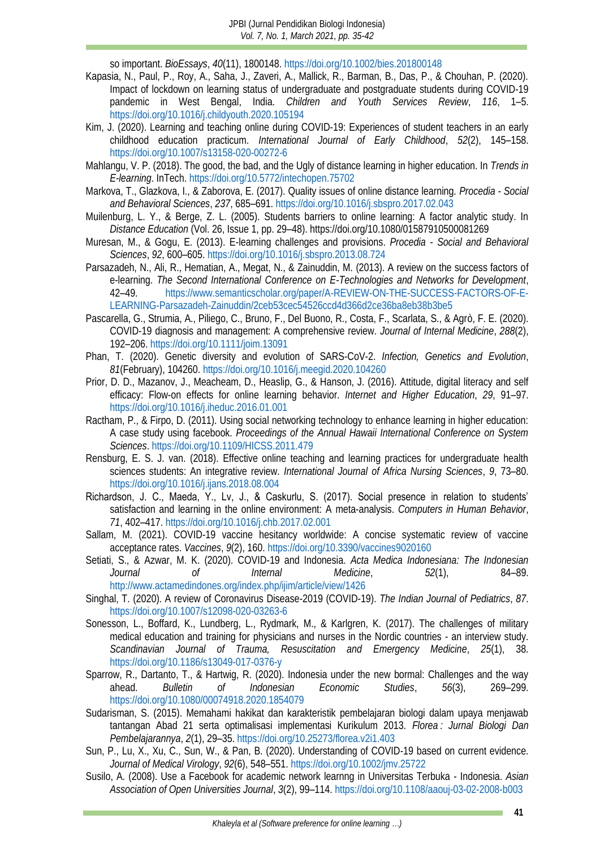so important. *BioEssays*, *40*(11), 1800148.<https://doi.org/10.1002/bies.201800148>

- <span id="page-6-20"></span>Kapasia, N., Paul, P., Roy, A., Saha, J., Zaveri, A., Mallick, R., Barman, B., Das, P., & Chouhan, P. (2020). Impact of lockdown on learning status of undergraduate and postgraduate students during COVID-19 pandemic in West Bengal, India. *Children and Youth Services Review*, *116*, 1–5. <https://doi.org/10.1016/j.childyouth.2020.105194>
- <span id="page-6-7"></span>Kim, J. (2020). Learning and teaching online during COVID-19: Experiences of student teachers in an early childhood education practicum. *International Journal of Early Childhood*, *52*(2), 145–158. <https://doi.org/10.1007/s13158-020-00272-6>
- <span id="page-6-8"></span>Mahlangu, V. P. (2018). The good, the bad, and the Ugly of distance learning in higher education. In *Trends in E-learning*. InTech.<https://doi.org/10.5772/intechopen.75702>
- <span id="page-6-16"></span>Markova, T., Glazkova, I., & Zaborova, E. (2017). Quality issues of online distance learning. *Procedia - Social and Behavioral Sciences*, *237*, 685–691[. https://doi.org/10.1016/j.sbspro.2017.02.043](https://doi.org/10.1016/j.sbspro.2017.02.043)
- <span id="page-6-15"></span>Muilenburg, L. Y., & Berge, Z. L. (2005). Students barriers to online learning: A factor analytic study. In *Distance Education* (Vol. 26, Issue 1, pp. 29–48). https://doi.org/10.1080/01587910500081269
- <span id="page-6-12"></span>Muresan, M., & Gogu, E. (2013). E-learning challenges and provisions. *Procedia - Social and Behavioral Sciences*, *92*, 600–605.<https://doi.org/10.1016/j.sbspro.2013.08.724>
- <span id="page-6-17"></span>Parsazadeh, N., Ali, R., Hematian, A., Megat, N., & Zainuddin, M. (2013). A review on the success factors of e-learning. *The Second International Conference on E-Technologies and Networks for Development*, 42–49. [https://www.semanticscholar.org/paper/A-REVIEW-ON-THE-SUCCESS-FACTORS-OF-E-](https://www.semanticscholar.org/paper/A-REVIEW-ON-THE-SUCCESS-FACTORS-OF-E-LEARNING-Parsazadeh-Zainuddin/2ceb53cec54526ccd4d366d2ce36ba8eb38b3be5)[LEARNING-Parsazadeh-Zainuddin/2ceb53cec54526ccd4d366d2ce36ba8eb38b3be5](https://www.semanticscholar.org/paper/A-REVIEW-ON-THE-SUCCESS-FACTORS-OF-E-LEARNING-Parsazadeh-Zainuddin/2ceb53cec54526ccd4d366d2ce36ba8eb38b3be5)
- <span id="page-6-1"></span>Pascarella, G., Strumia, A., Piliego, C., Bruno, F., Del Buono, R., Costa, F., Scarlata, S., & Agrò, F. E. (2020). COVID-19 diagnosis and management: A comprehensive review. *Journal of Internal Medicine*, *288*(2), 192–206. <https://doi.org/10.1111/joim.13091>
- <span id="page-6-2"></span>Phan, T. (2020). Genetic diversity and evolution of SARS-CoV-2. *Infection, Genetics and Evolution*, *81*(February), 104260.<https://doi.org/10.1016/j.meegid.2020.104260>
- <span id="page-6-9"></span>Prior, D. D., Mazanov, J., Meacheam, D., Heaslip, G., & Hanson, J. (2016). Attitude, digital literacy and self efficacy: Flow-on effects for online learning behavior. *Internet and Higher Education*, *29*, 91–97. <https://doi.org/10.1016/j.iheduc.2016.01.001>
- <span id="page-6-18"></span>Ractham, P., & Firpo, D. (2011). Using social networking technology to enhance learning in higher education: A case study using facebook. *Proceedings of the Annual Hawaii International Conference on System Sciences*[. https://doi.org/10.1109/HICSS.2011.479](https://doi.org/10.1109/HICSS.2011.479)
- <span id="page-6-13"></span>Rensburg, E. S. J. van. (2018). Effective online teaching and learning practices for undergraduate health sciences students: An integrative review. *International Journal of Africa Nursing Sciences*, *9*, 73–80. <https://doi.org/10.1016/j.ijans.2018.08.004>
- <span id="page-6-19"></span>Richardson, J. C., Maeda, Y., Lv, J., & Caskurlu, S. (2017). Social presence in relation to students' satisfaction and learning in the online environment: A meta-analysis. *Computers in Human Behavior*, *71*, 402–417.<https://doi.org/10.1016/j.chb.2017.02.001>
- <span id="page-6-4"></span>Sallam, M. (2021). COVID-19 vaccine hesitancy worldwide: A concise systematic review of vaccine acceptance rates. *Vaccines*, *9*(2), 160[. https://doi.org/10.3390/vaccines9020160](https://doi.org/10.3390/vaccines9020160)
- <span id="page-6-5"></span>Setiati, S., & Azwar, M. K. (2020). COVID-19 and Indonesia. *Acta Medica Indonesiana: The Indonesian Journal of Internal Medicine*, *52*(1), 84–89. <http://www.actamedindones.org/index.php/ijim/article/view/1426>
- <span id="page-6-3"></span>Singhal, T. (2020). A review of Coronavirus Disease-2019 (COVID-19). *The Indian Journal of Pediatrics*, *87*. <https://doi.org/10.1007/s12098-020-03263-6>
- <span id="page-6-14"></span>Sonesson, L., Boffard, K., Lundberg, L., Rydmark, M., & Karlgren, K. (2017). The challenges of military medical education and training for physicians and nurses in the Nordic countries - an interview study. *Scandinavian Journal of Trauma, Resuscitation and Emergency Medicine*, *25*(1), 38. <https://doi.org/10.1186/s13049-017-0376-y>
- <span id="page-6-6"></span>Sparrow, R., Dartanto, T., & Hartwig, R. (2020). Indonesia under the new bormal: Challenges and the way ahead. *Bulletin of Indonesian Economic Studies*, *56*(3), 269–299. <https://doi.org/10.1080/00074918.2020.1854079>
- <span id="page-6-10"></span>Sudarisman, S. (2015). Memahami hakikat dan karakteristik pembelajaran biologi dalam upaya menjawab tantangan Abad 21 serta optimalisasi implementasi Kurikulum 2013. *Florea : Jurnal Biologi Dan Pembelajarannya*, *2*(1), 29–35.<https://doi.org/10.25273/florea.v2i1.403>
- <span id="page-6-0"></span>Sun, P., Lu, X., Xu, C., Sun, W., & Pan, B. (2020). Understanding of COVID-19 based on current evidence. *Journal of Medical Virology*, *92*(6), 548–551[. https://doi.org/10.1002/jmv.25722](https://doi.org/10.1002/jmv.25722)
- <span id="page-6-11"></span>Susilo, A. (2008). Use a Facebook for academic network learnng in Universitas Terbuka - Indonesia. *Asian Association of Open Universities Journal*, *3*(2), 99–114.<https://doi.org/10.1108/aaouj-03-02-2008-b003>